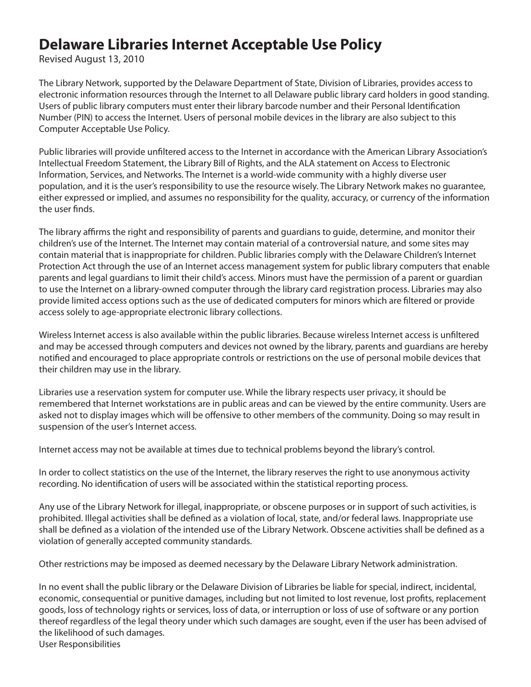## **Delaware Libraries Internet Acceptable Use Policy**

Revised August 13, 2010

The Library Network, supported by the Delaware Department of State, Division of Libraries, provides access to electronic information resources through the Internet to all Delaware public library card holders in good standing. Users of public library computers must enter their library barcode number and their Personal Identification Number (PIN) to access the Internet. Users of personal mobile devices in the library are also subject to this Computer Acceptable Use Policy.

Public libraries will provide unfiltered access to the Internet in accordance with the American Library Association's Intellectual Freedom Statement, the Library Bill of Rights, and the ALA statement on Access to Electronic Information, Services, and Networks. The Internet is a world-wide community with a highly diverse user population, and it is the user's responsibility to use the resource wisely. The Library Network makes no guarantee, either expressed or implied, and assumes no responsibility for the quality, accuracy, or currency of the information the user finds.

The library affirms the right and responsibility of parents and guardians to guide, determine, and monitor their children's use of the Internet. The Internet may contain material of a controversial nature, and some sites may contain material that is inappropriate for children. Public libraries comply with the Delaware Children's Internet Protection Act through the use of an Internet access management system for public library computers that enable parents and legal guardians to limit their child's access. Minors must have the permission of a parent or guardian to use the Internet on a library-owned computer through the library card registration process. Libraries may also provide limited access options such as the use of dedicated computers for minors which are filtered or provide access solely to age-appropriate electronic library collections.

Wireless Internet access is also available within the public libraries. Because wireless Internet access is unfiltered and may be accessed through computers and devices not owned by the library, parents and guardians are hereby notified and encouraged to place appropriate controls or restrictions on the use of personal mobile devices that their children may use in the library.

Libraries use a reservation system for computer use. While the library respects user privacy, it should be remembered that Internet workstations are in public areas and can be viewed by the entire community. Users are asked not to display images which will be offensive to other members of the community. Doing so may result in suspension of the user's Internet access.

Internet access may not be available at times due to technical problems beyond the library's control.

In order to collect statistics on the use of the Internet, the library reserves the right to use anonymous activity recording. No identification of users will be associated within the statistical reporting process.

Any use of the Library Network for illegal, inappropriate, or obscene purposes or in support of such activities, is prohibited. Illegal activities shall be defined as a violation of local, state, and/or federal laws. Inappropriate use shall be defined as a violation of the intended use of the Library Network. Obscene activities shall be defined as a violation of generally accepted community standards.

Other restrictions may be imposed as deemed necessary by the Delaware Library Network administration.

In no event shall the public library or the Delaware Division of Libraries be liable for special, indirect, incidental, economic, consequential or punitive damages, including but not limited to lost revenue, lost profits, replacement goods, loss of technology rights or services, loss of data, or interruption or loss of use of software or any portion thereof regardless of the legal theory under which such damages are sought, even if the user has been advised of the likelihood of such damages.

User Responsibilities